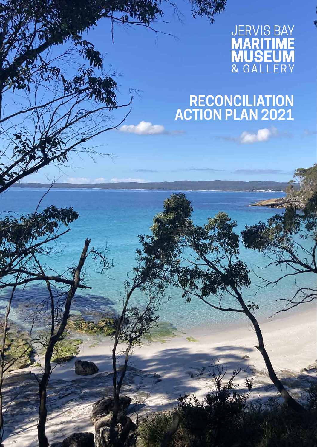# **JERVIS BAY<br>MARITIME<br>MUSEUM**<br>& GALLERY

# **RECONCILIATION ACTION PLAN 2021**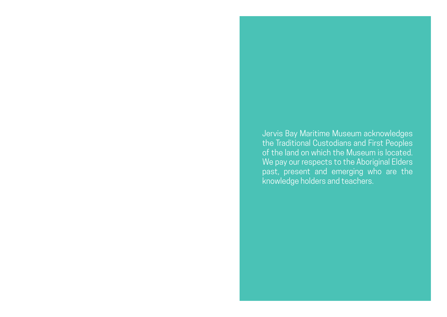Jervis Bay Maritime Museum acknowledges the Traditional Custodians and First Peoples of the land on which the Museum is located. We pay our respects to the Aboriginal Elders past, present and emerging who are the knowledge holders and teachers.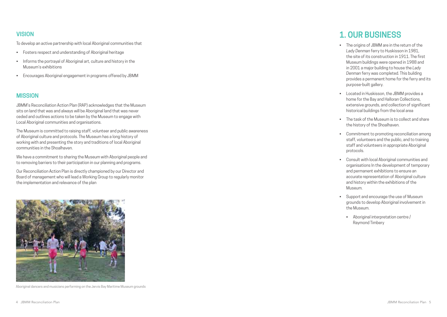## **VISION**

To develop an active partnership with local Aboriginal communities that

- Fosters respect and understanding of Aboriginal heritage
- Informs the portrayal of Aboriginal art, culture and history in the Museum's exhibitions
- Encourages Aboriginal engagement in programs offered by JBMM

### **MISSION**

JBMM's Reconciliation Action Plan (RAP) acknowledges that the Museum sits on land that was and always will be Aboriginal land that was never ceded and outlines actions to be taken by the Museum to engage with Local Aboriginal communities and organisations.

The Museum is committed to raising staff, volunteer and public awareness of Aboriginal culture and protocols. The Museum has a long history of working with and presenting the story and traditions of local Aboriginal communities in the Shoalhaven.

We have a commitment to sharing the Museum with Aboriginal people and to removing barriers to their participation in our planning and programs.

Our Reconciliation Action Plan is directly championed by our Director and Board of management who will lead a Working Group to regularly monitor the implementation and relevance of the plan



Aboriginal dancers and musicians performing on the Jervis Bay Maritime Museum grounds

# **1. OUR BUSINESS**

- • The origins of JBMM are in the return of the *Lady Denman* ferry to Huskisson in 1981, the site of its construction in 1911. The first Museum buildings were opened in 1988 and in 2001 a major building to house the *Lady Denman* ferry was completed. This building provides a permanent home for the ferry and its purpose-built gallery.
- Located in Huskisson, the JBMM provides a home for the Bay and Halloran Collections, extensive grounds, and collection of significant historical buildings from the local area
- The task of the Museum is to collect and share the history of the Shoalhaven.
- Commitment to promoting reconciliation among staff, volunteers and the public, and to training staff and volunteers in appropriate Aboriginal protocols.
- • Consult with local Aboriginal communities and organisations In the development of temporary and permanent exhibitions to ensure an accurate representation of Aboriginal culture and history within the exhibitions of the Museum.
- • Support and encourage the use of Museum grounds to develop Aboriginal involvement in the Museum.
- • Aboriginal interpretation centre / Raymond Timbery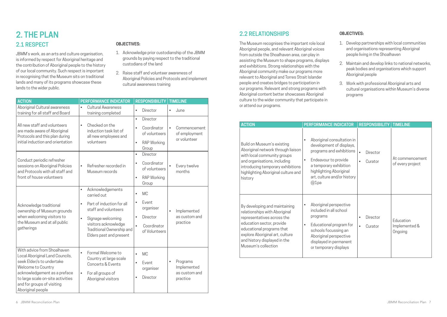# **2. THE PLAN 2.1 RESPECT**

JBMM's work, as an arts and culture organisation, is informed by respect for Aboriginal heritage and the contribution of Aboriginal people to the history of our local community. Such respect is important in recognising that the Museum sits on traditional lands and many of its programs showcase these lands to the wider public.

#### **OBJECTIVES:**

- 1. Acknowledge prior custodianship of the JBMM grounds by paying respect to the traditional custodians of the land
- 2. Raise staff and volunteer awareness of Aboriginal Policies and Protocols and implement cultural awareness training

| <b>ACTION</b>                                                                                                                                                                                                                             | <b>PERFORMANCE INDICATOR</b>                                                                                                                                                                                                        | <b>RESPONSIBILITY</b>                                                                                                                               | <b>TIMELINE</b>                                                 |
|-------------------------------------------------------------------------------------------------------------------------------------------------------------------------------------------------------------------------------------------|-------------------------------------------------------------------------------------------------------------------------------------------------------------------------------------------------------------------------------------|-----------------------------------------------------------------------------------------------------------------------------------------------------|-----------------------------------------------------------------|
| Aboriginal Cultural awareness<br>training for all staff and Board                                                                                                                                                                         | <b>Cultural Awareness</b><br>a.<br>training completed                                                                                                                                                                               | Director<br>$\blacksquare$                                                                                                                          | June<br>$\blacksquare$                                          |
| All new staff and volunteers<br>are made aware of Aboriginal<br>Protocols and this plan during<br>initial induction and orientation                                                                                                       | Checked on the<br>$\blacksquare$<br>induction task list of<br>all new employees and<br>volunteers                                                                                                                                   | Director<br>$\blacksquare$<br>Coordinator<br>$\blacksquare$<br>of volunteers<br><b>RAP Working</b><br>$\blacksquare$<br>Group                       | $\blacksquare$<br>Commencement<br>of employment<br>or volunteer |
| Conduct periodic refresher<br>sessions on Aboriginal Policies<br>and Protocols with all staff and<br>front of house volunteers                                                                                                            | Refresher recorded in<br>$\blacksquare$<br>Museum records                                                                                                                                                                           | Director<br>$\blacksquare$<br>Coordinator<br>$\blacksquare$<br>of volunteers<br><b>RAP Working</b><br>$\blacksquare$<br>Group                       | Every twelve<br>months                                          |
| Acknowledge traditional<br>ownership of Museum grounds<br>when welcoming visitors to<br>the Museum and at all public<br>gatherings                                                                                                        | Acknowledgements<br>$\blacksquare$<br>carried out<br>Part of induction for all<br>$\blacksquare$<br>staff and volunteers<br>Signage welcoming<br>j.<br>visitors acknowledge<br>Traditional Ownership and<br>Elders past and present | <b>MC</b><br>$\blacksquare$<br>Event<br>$\blacksquare$<br>organiser<br>Director<br>$\blacksquare$<br>Coordinator<br>$\blacksquare$<br>of Volunteers | Implemented<br>$\blacksquare$<br>as custom and<br>practice      |
| With advice from Shoalhaven<br>Local Aboriginal Land Councils,<br>seek Elder/s to undertake<br>Welcome to Country<br>acknowledgement as a preface<br>to large scale on-site activities<br>and for groups of visiting<br>Aboriginal people | Formal Welcome to<br>$\blacksquare$<br>Country at large scale<br>Concerts & Events<br>For all groups of<br>×<br>Aboriginal visitors                                                                                                 | <b>MC</b><br>$\blacksquare$<br>Event<br>$\blacksquare$<br>organiser<br>Director                                                                     | Programs<br>Implemented<br>as custom and<br>practice            |

# **2.2 RELATIONSHIPS**

The Museum recognises the important role local Aboriginal people, and relevant Aboriginal voices from outside the Shoalhaven area, can play in assisting the Museum to shape programs, displays and exhibitions. Strong relationships with the Aboriginal community make our programs more relevant to Aboriginal and Torres Strait Islander people and creates bridges to participation in our programs. Relevant and strong programs with Aboriginal content better showcases Aboriginal culture to the wider community that participate in or attend our programs.

#### **OBJECTIVES:**

- 1. Develop partnerships with local communities and organisations representing Aboriginal people living in the Shoalhaven
- 2. Maintain and develop links to national networks, peak bodies and organisations which support Aboriginal people
- 3. Work with professional Aboriginal arts and cultural organisations within Museum's diverse programs

| <b>ACTION</b>                                                                                                                                                                                                                                    | <b>PERFORMANCE INDICATOR</b>                                                                                                                                                                                                               | <b>RESPONSIBILITY</b>                             | <b>TIMELINE</b>                       |
|--------------------------------------------------------------------------------------------------------------------------------------------------------------------------------------------------------------------------------------------------|--------------------------------------------------------------------------------------------------------------------------------------------------------------------------------------------------------------------------------------------|---------------------------------------------------|---------------------------------------|
| Build on Museum's existing<br>Aboriginal network through liaison<br>with local community groups<br>and organisations, including<br>introducing temporary exhibitions<br>highlighting Aboriginal culture and<br>history                           | Aboriginal consultation in<br>$\blacksquare$<br>development of displays,<br>programs and exhibitions<br>Endeavour to provide<br>$\blacksquare$<br>a temporary exhibition<br>highlighting Aboriginal<br>art, culture and/or history<br>@1pa | Director<br>Curator<br>×                          | At commencement<br>of every project   |
| By developing and maintaining<br>relationships with Aboriginal<br>representatives across the<br>education sector, provide<br>educational programs that<br>explore Aboriginal art, culture<br>and history displayed in the<br>Museum's collection | Aboriginal perspective<br>included in all school<br>programs<br>Educational program for<br>schools focussing an<br>Aboriginal perspective<br>displayed in permanent<br>or temporary displays                                               | <b>Director</b><br>×<br>Curator<br>$\blacksquare$ | Education<br>Implemented &<br>Ongoing |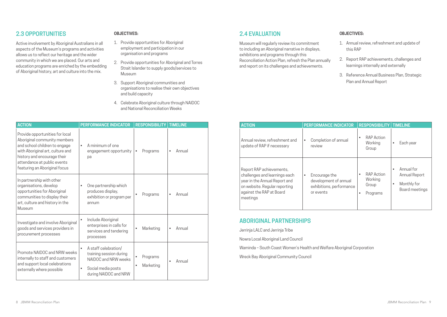# **2.3 OPPORTUNITIES**

Active involvement by Aboriginal Australians in all aspects of the Museum's programs and activities allows us to reflect our heritage and the wider community in which we are placed. Our arts and education programs are enriched by the embedding of Aboriginal history, art and culture into the mix.

#### **OBJECTIVES:**

- 1. Provide opportunities for Aboriginal employment and participation in our organisation and programs
- 2. Provide opportunities for Aboriginal and Torres Strait Islander to supply goods/services to Museum
- 3. Support Aboriginal communities and organisations to realise their own objectives and build capacity
- 4. Celebrate Aboriginal culture through NAIDOC and National Reconciliation Weeks

| <b>ACTION</b>                                                                                                                                                                                                                       | <b>PERFORMANCE INDICATOR</b>                                                                                                                   | <b>RESPONSIBILITY</b>             | <b>TIMELINE</b> |
|-------------------------------------------------------------------------------------------------------------------------------------------------------------------------------------------------------------------------------------|------------------------------------------------------------------------------------------------------------------------------------------------|-----------------------------------|-----------------|
| Provide opportunities for local<br>Aboriginal community members<br>and school children to engage<br>with Aboriginal art, culture and<br>history and encourage their<br>attendance at public events<br>featuring an Aboriginal focus | A minimum of one<br>$\blacksquare$<br>engagement opportunity<br>pa                                                                             | Programs<br>٠                     | Annual<br>×.    |
| In partnership with other<br>organisations, develop<br>opportunities for Aboriginal<br>communities to display their<br>art, culture and history in the<br>Museum                                                                    | One partnership which<br>×<br>produces display,<br>exhibition or program per<br>annum                                                          | Programs                          | Annual<br>g,    |
| Investigate and involve Aboriginal<br>goods and services providers in<br>procurement processes                                                                                                                                      | Include Aboriginal<br>enterprises in calls for<br>services and tendering<br>processes                                                          | Marketing<br>$\blacksquare$       | Annual<br>٠     |
| Promote NAIDOC and NRW weeks<br>internally to staff and customers<br>and support local celebrations<br>externally where possible                                                                                                    | A staff celebration/<br>$\blacksquare$<br>training session during<br>NAIDOC and NRW weeks<br>Social media posts<br>g,<br>during NAIDOC and NRW | Programs<br>×,<br>Marketing<br>×, | Annual<br>×     |

# **2.4 EVALUATION**

Museum will regularly review its commitment to including an Aboriginal narrative in displays, exhibitions and programs through this Reconciliation Action Plan, refresh the Plan annually and report on its challenges and achievements.

#### **OBJECTIVES:**

- 1. Annual review, refreshment and update of this RAP
- 2. Report RAP achievements, challenges and learnings internally and externally
- 3. Reference Annual Business Plan, Strategic Plan and Annual Report

| <b>ACTION</b>                                                                                                                                                       | <b>PERFORMANCE INDICATOR</b>                                                                      | <b>RESPONSIBILITY</b>                             | <b>TIMELINE</b>                                                        |
|---------------------------------------------------------------------------------------------------------------------------------------------------------------------|---------------------------------------------------------------------------------------------------|---------------------------------------------------|------------------------------------------------------------------------|
| Annual review, refreshment and<br>update of RAP if necessary                                                                                                        | Completion of annual<br>٠,<br>review                                                              | <b>RAP Action</b><br>Working<br>Group             | Each year<br>٠                                                         |
| Report RAP achievements,<br>challenges and learnings each<br>year in the Annual Report and<br>on website. Regular reporting<br>against the RAP at Board<br>meetings | Encourage the<br>$\blacksquare$<br>development of annual<br>exhibitions, performance<br>or events | <b>RAP Action</b><br>Working<br>Group<br>Programs | Annual for<br>٠<br>Annual Report<br>Monthly for<br>٠<br>Board meetings |

## **ABORIGINAL PARTNERSHIPS**

Jerrinja LALC and Jerrinja Tribe

Nowra Local Aboriginal Land Council

Waminda – South Coast Women's Health and Welfare Aboriginal Corporation

Wreck Bay Aboriginal Community Council